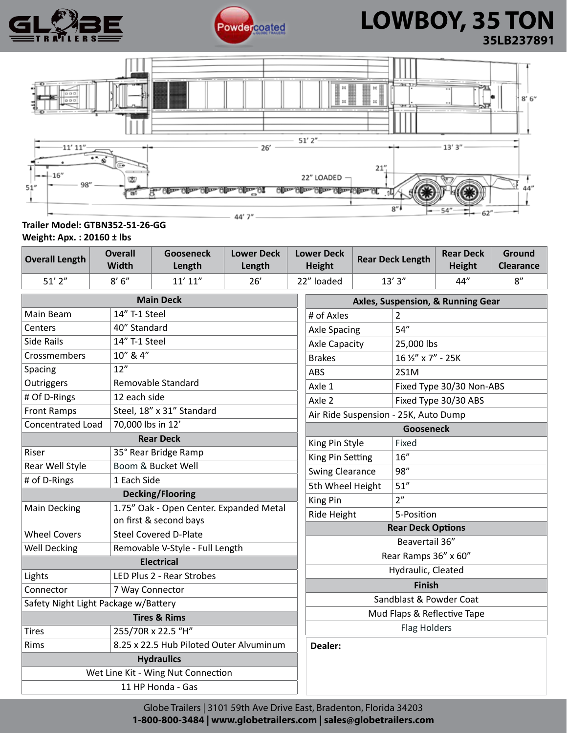



### **LOWBOY, 35 TON 35LB237891**



### **Trailer Model: GTBN352-51-26-GG Weight: Apx. : 20160 ± lbs**

**Overall Length Overall Width Gooseneck Length Lower Deck Length Lower Deck Height Rear Deck Length Rear Deck Height Ground Clearance** 51' 2" | 8' 6" | 11' 11" | 26' | 22" loaded | 13' 3" | 44" | 8"

| <b>Main Deck</b>                     |                                         | Axles, Suspension, & Running Gear    |                          |
|--------------------------------------|-----------------------------------------|--------------------------------------|--------------------------|
| Main Beam                            | 14" T-1 Steel                           | # of Axles                           | 2                        |
| Centers                              | 40" Standard                            | <b>Axle Spacing</b>                  | 54''                     |
| Side Rails                           | 14" T-1 Steel                           | <b>Axle Capacity</b>                 | 25,000 lbs               |
| Crossmembers                         | 10" & 4"                                | <b>Brakes</b>                        | 16 1/2" x 7" - 25K       |
| Spacing                              | 12"                                     | ABS                                  | 2S1M                     |
| Outriggers                           | Removable Standard                      | Axle 1                               | Fixed Type 30/30 Non-ABS |
| # Of D-Rings                         | 12 each side                            | Axle 2                               | Fixed Type 30/30 ABS     |
| <b>Front Ramps</b>                   | Steel, 18" x 31" Standard               | Air Ride Suspension - 25K, Auto Dump |                          |
| <b>Concentrated Load</b>             | 70,000 lbs in 12'                       | <b>Gooseneck</b>                     |                          |
|                                      | <b>Rear Deck</b>                        | King Pin Style                       | Fixed                    |
| Riser                                | 35° Rear Bridge Ramp                    | King Pin Setting                     | 16"                      |
| Rear Well Style                      | Boom & Bucket Well                      | <b>Swing Clearance</b>               | 98"                      |
| # of D-Rings                         | 1 Each Side                             | 5th Wheel Height                     | 51"                      |
| <b>Decking/Flooring</b>              |                                         | King Pin                             | 2"                       |
| Main Decking                         | 1.75" Oak - Open Center. Expanded Metal | Ride Height                          | 5-Position               |
|                                      | on first & second bays                  | <b>Rear Deck Options</b>             |                          |
| <b>Wheel Covers</b>                  | <b>Steel Covered D-Plate</b>            | Beavertail 36"                       |                          |
| <b>Well Decking</b>                  | Removable V-Style - Full Length         | Rear Ramps 36" x 60"                 |                          |
| <b>Electrical</b>                    |                                         | Hydraulic, Cleated                   |                          |
| Lights                               | LED Plus 2 - Rear Strobes               | <b>Finish</b>                        |                          |
| Connector                            | 7 Way Connector                         | Sandblast & Powder Coat              |                          |
| Safety Night Light Package w/Battery |                                         | Mud Flaps & Reflective Tape          |                          |
| <b>Tires &amp; Rims</b>              |                                         | <b>Flag Holders</b>                  |                          |
| <b>Tires</b>                         | 255/70R x 22.5 "H"                      |                                      |                          |
| Rims                                 | 8.25 x 22.5 Hub Piloted Outer Alvuminum | Dealer:                              |                          |
| <b>Hydraulics</b>                    |                                         |                                      |                          |
| Wet Line Kit - Wing Nut Connection   |                                         |                                      |                          |
| 11 HP Honda - Gas                    |                                         |                                      |                          |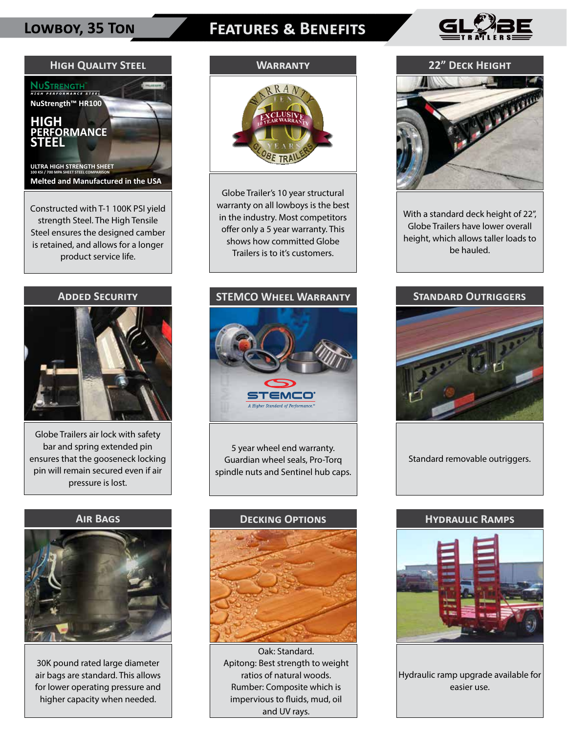### **Lowboy, 35 Ton Features & Benefits**





strength Steel. The High Tensile Steel ensures the designed camber is retained, and allows for a longer product service life.

### **Added Security**



Globe Trailers air lock with safety bar and spring extended pin ensures that the gooseneck locking pin will remain secured even if air pressure is lost.

### **Air Bags**



30K pound rated large diameter air bags are standard. This allows for lower operating pressure and higher capacity when needed.

### **Warranty**



Globe Trailer's 10 year structural warranty on all lowboys is the best in the industry. Most competitors offer only a 5 year warranty. This shows how committed Globe Trailers is to it's customers.

### **STEMCO Wheel Warranty**

## TEMCO

5 year wheel end warranty. Guardian wheel seals, Pro-Torq spindle nuts and Sentinel hub caps.



 Oak: Standard. Apitong: Best strength to weight ratios of natural woods. Rumber: Composite which is impervious to fluids, mud, oil and UV rays.

### **22" Deck Height**



With a standard deck height of 22", Globe Trailers have lower overall height, which allows taller loads to be hauled.

### **Standard Outriggers**



Standard removable outriggers.

### **Hydraulic Ramps**



Hydraulic ramp upgrade available for easier use.